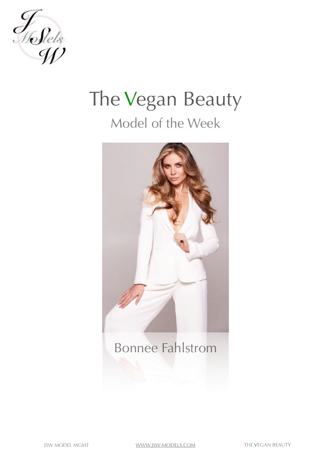

## The Vegan Beauty Model of the Week



Bonnee Fahlstrom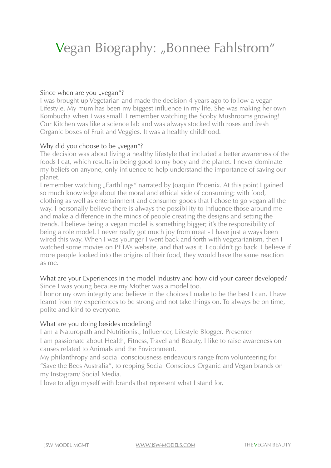## Vegan Biography: "Bonnee Fahlstrom"

### Since when are you "vegan"?

I was brought up Vegetarian and made the decision 4 years ago to follow a vegan Lifestyle. My mum has been my biggest influence in my life. She was making her own Kombucha when I was small. I remember watching the Scoby Mushrooms growing! Our Kitchen was like a science lab and was always stocked with roses and fresh Organic boxes of Fruit and Veggies. It was a healthy childhood.

### Why did you choose to be "vegan"?

The decision was about living a healthy lifestyle that included a [better awareness](http://www.fitsugar.com/Lea-Michele-Covers-Womens-Health-Being-Vegan-Rock-Climbing-Nose-Jobs-8379467) of the foods I eat, which results in being good to my body and the planet. I never dominate my beliefs on anyone, only influence to help understand the importance of saving our planet.

I remember watching ["Earthlings](http://earthlings.com/)" narrated by Joaquin Phoenix. At this point I gained so much knowledge about the moral and ethical side of consuming; with food, clothing as well as entertainment and consumer goods that I chose to go vegan all the way. I personally believe there is always the possibility to influence those around me and make a difference in the minds of people creating the designs and setting the trends. I believe being a vegan model is something bigger; it's the responsibility of being a role model. I never really got much joy from meat - I have just always been wired this way. When I was younger I went back and forth with vegetarianism, then I watched some movies on PETA's website, and that was it. I couldn't go back. I believe if more people looked into the origins of their food, they would have the same reaction as me.

#### What are your Experiences in the model industry and how did your career developed? Since I was young because my Mother was a model too.

I honor my own integrity and believe in the choices I make to be the best I can. I have learnt from my experiences to be strong and not take things on. To always be on time, polite and kind to everyone.

### What are you doing besides modeling?

I am a Naturopath and Nutritionist, Influencer, Lifestyle Blogger, Presenter I am passionate about Health, Fitness, Travel and Beauty, I like to raise awareness on causes related to Animals and the Environment.

My philanthropy and social consciousness endeavours range from volunteering for "Save the Bees Australia", to repping Social Conscious Organic and Vegan brands on my Instagram/ Social Media.

I love to align myself with brands that represent what I stand for.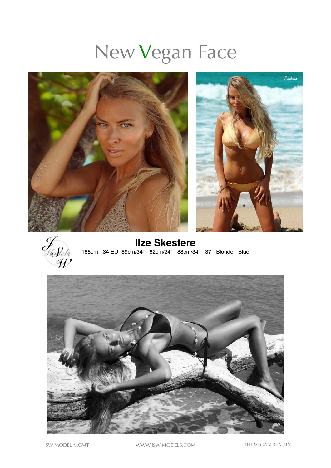# New Vegan Face





**Ilze Skestere** 168cm - 34 EU- 89cm/34" - 62cm/24" - 88cm/34" - 37 - Blonde - Blue



JSW MODEL MGMT [WWW.JSW-MODELS.COM](http://www.jsw-models.com) THE VEGAN BEAUTY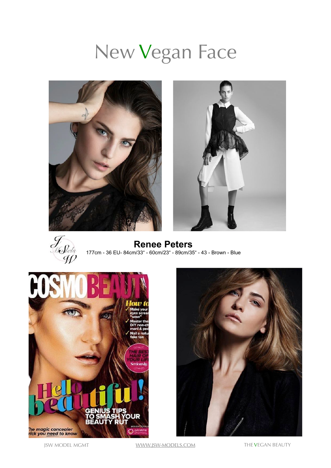# New Vegan Face







**Renee Peters** 177cm - 36 EU- 84cm/33" - 60cm/23" - 89cm/35" - 43 - Brown - Blue





JSW MODEL MGMT [WWW.JSW-MODELS.COM](http://www.jsw-models.com) THE VEGAN BEAUTY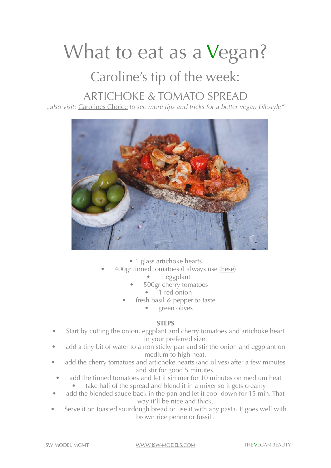## What to eat as a Vegan?

### Caroline's tip of the week:

### ARTICHOKE & TOMATO SPREAD

*"also visit:* [Carolines Choice](http://carolineschoice.com/contact/) *to see more tips and tricks for a better vegan Lifestyle"*



• 1 glass artichoke hearts

- 400gr tinned tomatoes (I always use [these\)](https://www.amazon.co.uk/Mr-Organic-Italian-Whole-Tomatoes/dp/B004A8WF9M/ref=pd_lpo_vtph_325_lp_img_4/260-6046865-9756247?_encoding=UTF8&psc=1&refRID=TNS9JYPS521ZS4VEC95K)
	- 1 eggplant
	- 500gr cherry tomatoes
		- 1 red onion
	- fresh basil & pepper to taste
		- green olives

### **STEPS**

- Start by cutting the onion, eggplant and cherry tomatoes and artichoke heart in your preferred size.
- add a tiny bit of water to a non sticky pan and stir the onion and eggplant on medium to high heat.
- add the cherry tomatoes and artichoke hearts (and olives) after a few minutes and stir for good 5 minutes.
	- add the tinned tomatoes and let it simmer for 10 minutes on medium heat
		- take half of the spread and blend it in a mixer so it gets creamy
- add the blended sauce back in the pan and let it cool down for 15 min. That way it'll be nice and thick.
- Serve it on toasted sourdough bread or use it with any pasta. It goes well with brown rice penne or fussili.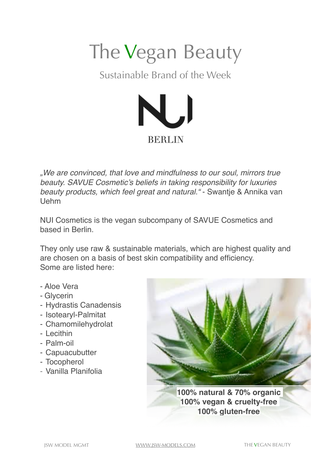

Sustainable Brand of the Week



*"We are convinced, that love and mindfulness to our soul, mirrors true beauty. SAVUE Cosmetic's beliefs in taking responsibility for luxuries beauty products, which feel great and natural."* - Swantje & Annika van Uehm

NUI Cosmetics is the vegan subcompany of SAVUE Cosmetics and based in Berlin.

They only use raw & sustainable materials, which are highest quality and are chosen on a basis of best skin compatibility and efficiency. Some are listed here:

- Aloe Vera
- Glycerin
- Hydrastis Canadensis
- Isotearyl-Palmitat
- Chamomilehydrolat
- Lecithin
- Palm-oil
- Capuacubutter
- Tocopherol
- Vanilla Planifolia



**100% natural & 70% organic 100% vegan & cruelty-free 100% gluten-free**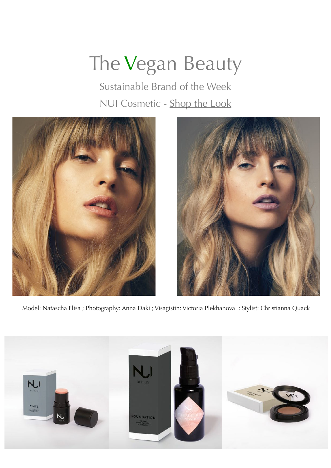# The Vegan Beauty

Sustainable Brand of the Week NUI Cosmetic - [Shop the Look](http://nuicosmetics.com)





Model: [Natascha Elisa](http://jsw-models.com/resources/Sedcard/Natascha_E_Portfolio_Card.pdf) ; Photography: [Anna Daki](http://annadaki.com) ; Visagistin: [Victoria Plekhanova](http://plekhanova.tumblr.com) ; Stylist: Christianna Quack